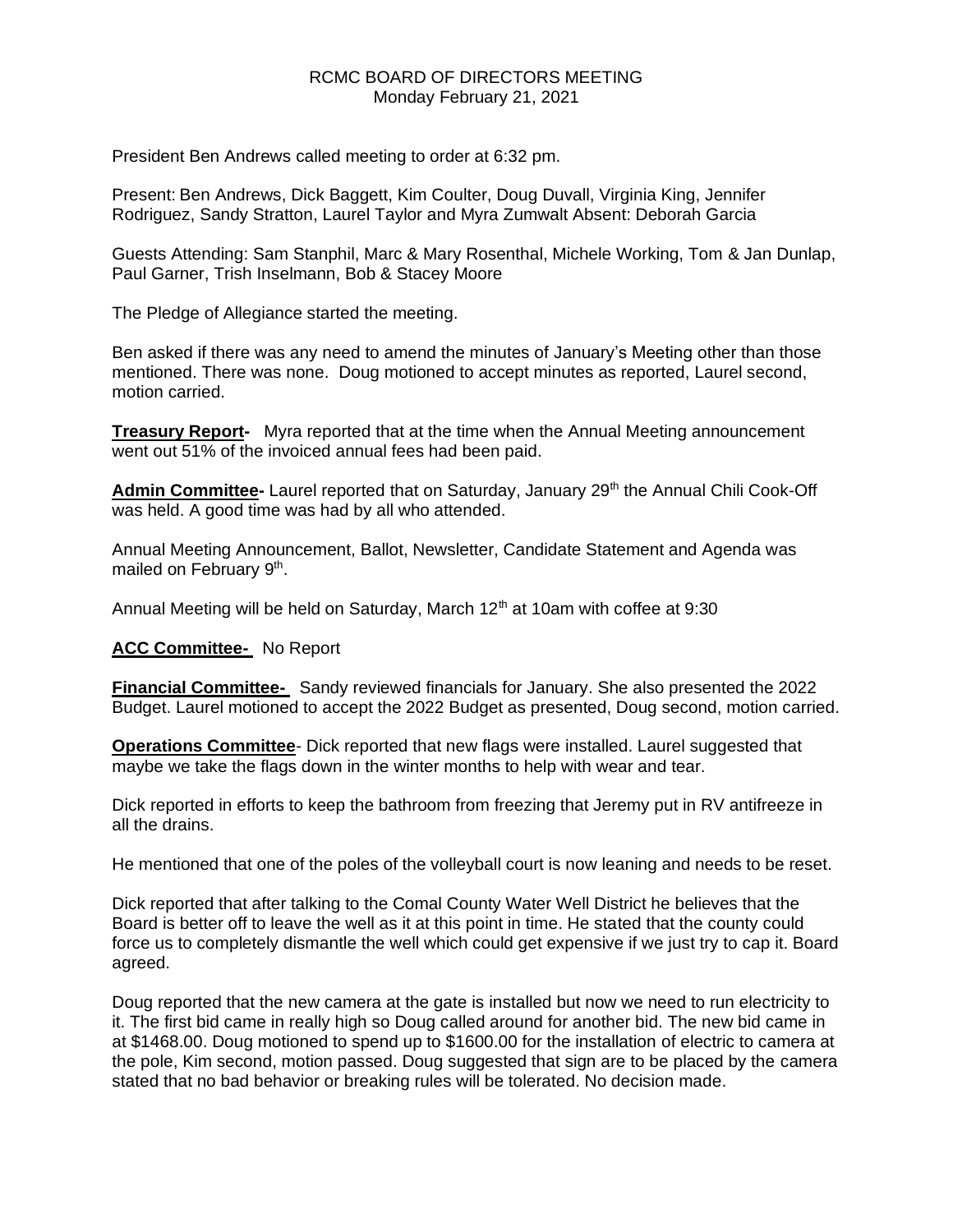# RCMC BOARD OF DIRECTORS MEETING Monday February 21, 2021

President Ben Andrews called meeting to order at 6:32 pm.

Present: Ben Andrews, Dick Baggett, Kim Coulter, Doug Duvall, Virginia King, Jennifer Rodriguez, Sandy Stratton, Laurel Taylor and Myra Zumwalt Absent: Deborah Garcia

Guests Attending: Sam Stanphil, Marc & Mary Rosenthal, Michele Working, Tom & Jan Dunlap, Paul Garner, Trish Inselmann, Bob & Stacey Moore

The Pledge of Allegiance started the meeting.

Ben asked if there was any need to amend the minutes of January's Meeting other than those mentioned. There was none. Doug motioned to accept minutes as reported, Laurel second, motion carried.

**Treasury Report-** Myra reported that at the time when the Annual Meeting announcement went out 51% of the invoiced annual fees had been paid.

Admin Committee- Laurel reported that on Saturday, January 29<sup>th</sup> the Annual Chili Cook-Off was held. A good time was had by all who attended.

Annual Meeting Announcement, Ballot, Newsletter, Candidate Statement and Agenda was mailed on February 9<sup>th</sup>.

Annual Meeting will be held on Saturday, March  $12<sup>th</sup>$  at 10am with coffee at 9:30

## **ACC Committee-** No Report

**Financial Committee-** Sandy reviewed financials for January. She also presented the 2022 Budget. Laurel motioned to accept the 2022 Budget as presented, Doug second, motion carried.

**Operations Committee**- Dick reported that new flags were installed. Laurel suggested that maybe we take the flags down in the winter months to help with wear and tear.

Dick reported in efforts to keep the bathroom from freezing that Jeremy put in RV antifreeze in all the drains.

He mentioned that one of the poles of the volleyball court is now leaning and needs to be reset.

Dick reported that after talking to the Comal County Water Well District he believes that the Board is better off to leave the well as it at this point in time. He stated that the county could force us to completely dismantle the well which could get expensive if we just try to cap it. Board agreed.

Doug reported that the new camera at the gate is installed but now we need to run electricity to it. The first bid came in really high so Doug called around for another bid. The new bid came in at \$1468.00. Doug motioned to spend up to \$1600.00 for the installation of electric to camera at the pole, Kim second, motion passed. Doug suggested that sign are to be placed by the camera stated that no bad behavior or breaking rules will be tolerated. No decision made.